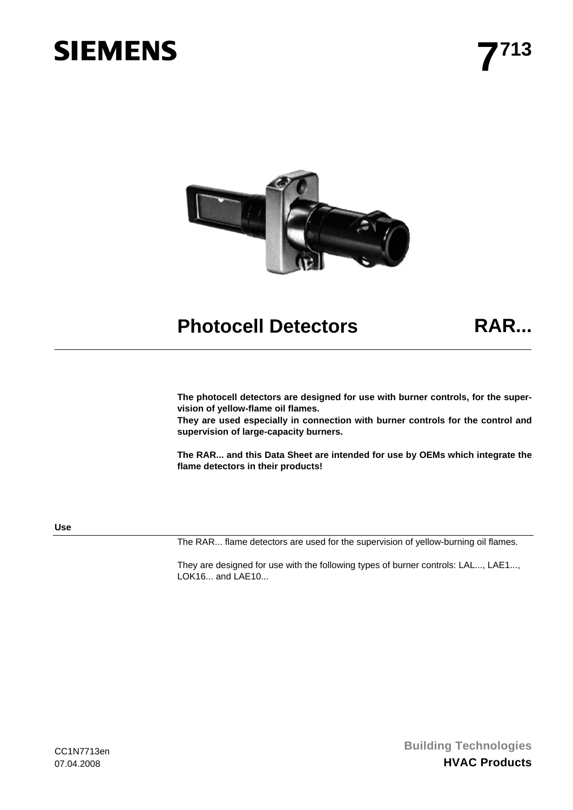# **SIEMENS**



## **Photocell Detectors RAR...**

**The photocell detectors are designed for use with burner controls, for the supervision of yellow-flame oil flames.** 

**They are used especially in connection with burner controls for the control and supervision of large-capacity burners.** 

**The RAR... and this Data Sheet are intended for use by OEMs which integrate the flame detectors in their products!** 

**Use** 

The RAR... flame detectors are used for the supervision of yellow-burning oil flames.

They are designed for use with the following types of burner controls: LAL..., LAE1..., LOK16... and LAE10...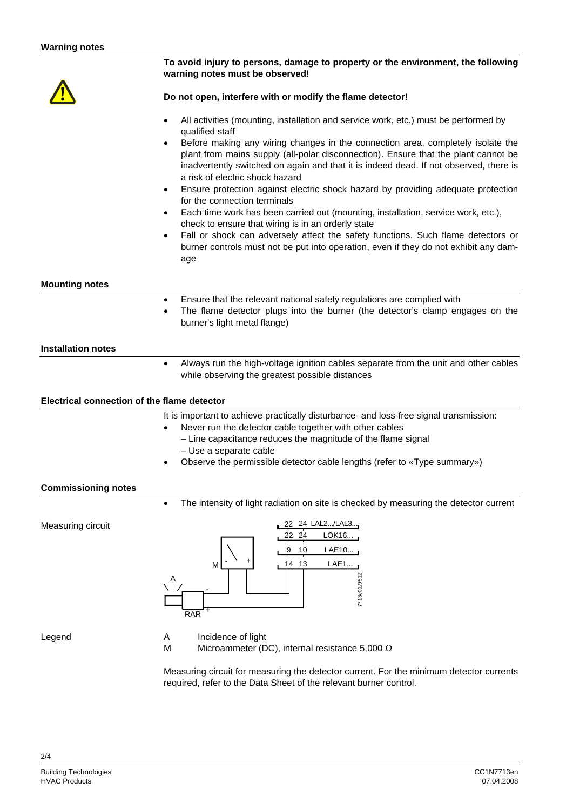|                                             | To avoid injury to persons, damage to property or the environment, the following<br>warning notes must be observed!                                                                                                                                                                                                                                                                                                                                                                                                                                                                                                                                                                                                                                                                                                                                                                                                            |  |  |  |
|---------------------------------------------|--------------------------------------------------------------------------------------------------------------------------------------------------------------------------------------------------------------------------------------------------------------------------------------------------------------------------------------------------------------------------------------------------------------------------------------------------------------------------------------------------------------------------------------------------------------------------------------------------------------------------------------------------------------------------------------------------------------------------------------------------------------------------------------------------------------------------------------------------------------------------------------------------------------------------------|--|--|--|
|                                             | Do not open, interfere with or modify the flame detector!                                                                                                                                                                                                                                                                                                                                                                                                                                                                                                                                                                                                                                                                                                                                                                                                                                                                      |  |  |  |
|                                             | All activities (mounting, installation and service work, etc.) must be performed by<br>$\bullet$<br>qualified staff<br>Before making any wiring changes in the connection area, completely isolate the<br>$\bullet$<br>plant from mains supply (all-polar disconnection). Ensure that the plant cannot be<br>inadvertently switched on again and that it is indeed dead. If not observed, there is<br>a risk of electric shock hazard<br>Ensure protection against electric shock hazard by providing adequate protection<br>$\bullet$<br>for the connection terminals<br>Each time work has been carried out (mounting, installation, service work, etc.),<br>$\bullet$<br>check to ensure that wiring is in an orderly state<br>Fall or shock can adversely affect the safety functions. Such flame detectors or<br>$\bullet$<br>burner controls must not be put into operation, even if they do not exhibit any dam-<br>age |  |  |  |
| <b>Mounting notes</b>                       |                                                                                                                                                                                                                                                                                                                                                                                                                                                                                                                                                                                                                                                                                                                                                                                                                                                                                                                                |  |  |  |
|                                             | Ensure that the relevant national safety regulations are complied with<br>$\bullet$<br>The flame detector plugs into the burner (the detector's clamp engages on the<br>$\bullet$<br>burner's light metal flange)                                                                                                                                                                                                                                                                                                                                                                                                                                                                                                                                                                                                                                                                                                              |  |  |  |
| <b>Installation notes</b>                   |                                                                                                                                                                                                                                                                                                                                                                                                                                                                                                                                                                                                                                                                                                                                                                                                                                                                                                                                |  |  |  |
|                                             | Always run the high-voltage ignition cables separate from the unit and other cables<br>$\bullet$<br>while observing the greatest possible distances                                                                                                                                                                                                                                                                                                                                                                                                                                                                                                                                                                                                                                                                                                                                                                            |  |  |  |
| Electrical connection of the flame detector |                                                                                                                                                                                                                                                                                                                                                                                                                                                                                                                                                                                                                                                                                                                                                                                                                                                                                                                                |  |  |  |
|                                             | It is important to achieve practically disturbance- and loss-free signal transmission:<br>Never run the detector cable together with other cables<br>$\bullet$<br>- Line capacitance reduces the magnitude of the flame signal<br>- Use a separate cable<br>Observe the permissible detector cable lengths (refer to «Type summary»)<br>٠                                                                                                                                                                                                                                                                                                                                                                                                                                                                                                                                                                                      |  |  |  |
| <b>Commissioning notes</b>                  | The intensity of light radiation on site is checked by measuring the detector current<br>$\bullet$                                                                                                                                                                                                                                                                                                                                                                                                                                                                                                                                                                                                                                                                                                                                                                                                                             |  |  |  |
| Measuring circuit                           | 22 24 LAL2/LAL3<br>22 24<br>LOK16<br>LAE10<br>9<br>10<br>LAE1<br>14 13<br>M<br>7713v01/9512<br>A<br><b>RAR</b>                                                                                                                                                                                                                                                                                                                                                                                                                                                                                                                                                                                                                                                                                                                                                                                                                 |  |  |  |
| Legend                                      | Incidence of light<br>A<br>M<br>Microammeter (DC), internal resistance 5,000 $\Omega$                                                                                                                                                                                                                                                                                                                                                                                                                                                                                                                                                                                                                                                                                                                                                                                                                                          |  |  |  |

Measuring circuit for measuring the detector current. For the minimum detector currents required, refer to the Data Sheet of the relevant burner control.

2/4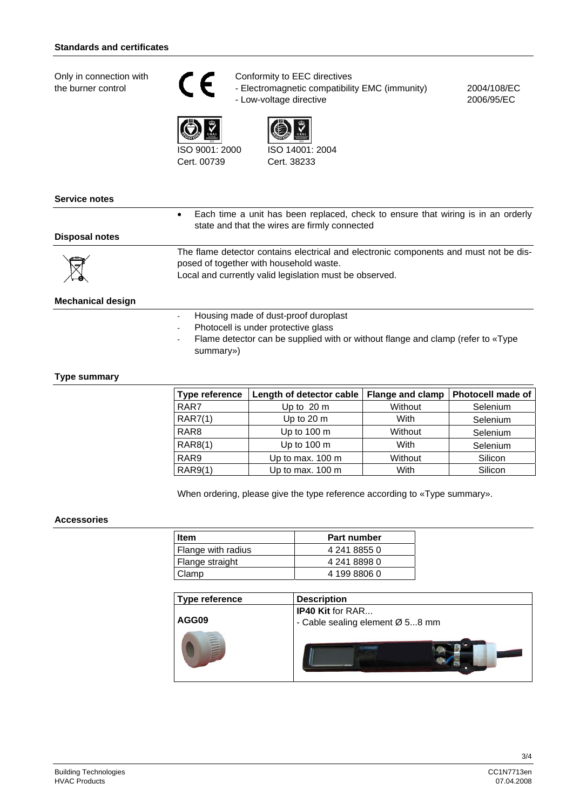Only in connection with the burner control





- Electromagnetic compatibility EMC (immunity) - Low-voltage directive

2004/108/EC 2006/95/EC



ISO 9001: 2000 Cert. 00739

♥ ISO 14001: 2004 Cert. 38233

| Service notes            |                                                                                                                                                                                             |
|--------------------------|---------------------------------------------------------------------------------------------------------------------------------------------------------------------------------------------|
|                          | Each time a unit has been replaced, check to ensure that wiring is in an orderly<br>$\bullet$<br>state and that the wires are firmly connected                                              |
| Disposal notes           |                                                                                                                                                                                             |
|                          | The flame detector contains electrical and electronic components and must not be dis-<br>posed of together with household waste.<br>Local and currently valid legislation must be observed. |
| <b>Mechanical design</b> |                                                                                                                                                                                             |

- Housing made of dust-proof duroplast

- Photocell is under protective glass
- Flame detector can be supplied with or without flange and clamp (refer to «Type summary»)

#### **Type summary**

| Type reference   | Length of detector cable | <b>Flange and clamp</b> | <b>Photocell made of</b> |
|------------------|--------------------------|-------------------------|--------------------------|
| RAR7             | Up to 20 m               | Without                 | Selenium                 |
| <b>RAR7(1)</b>   | Up to 20 m               | With                    | Selenium                 |
| RAR <sub>8</sub> | Up to $100 \text{ m}$    | Without                 | Selenium                 |
| RAR8(1)          | Up to $100 \text{ m}$    | With                    | Selenium                 |
| RAR9             | Up to max. 100 m         | Without                 | Silicon                  |
| <b>RAR9(1)</b>   | Up to max. 100 m         | With                    | Silicon                  |

When ordering, please give the type reference according to «Type summary».

#### **Accessories**

| <b>Item</b>        | Part number  |
|--------------------|--------------|
| Flange with radius | 4 241 8855 0 |
| Flange straight    | 4 241 8898 0 |
| Clamp              | 4 199 8806 0 |
|                    |              |

| <b>Type reference</b> | <b>Description</b>              |
|-----------------------|---------------------------------|
|                       | <b>IP40 Kit for RAR</b>         |
| AGG09                 | - Cable sealing element Ø 58 mm |
| É                     |                                 |